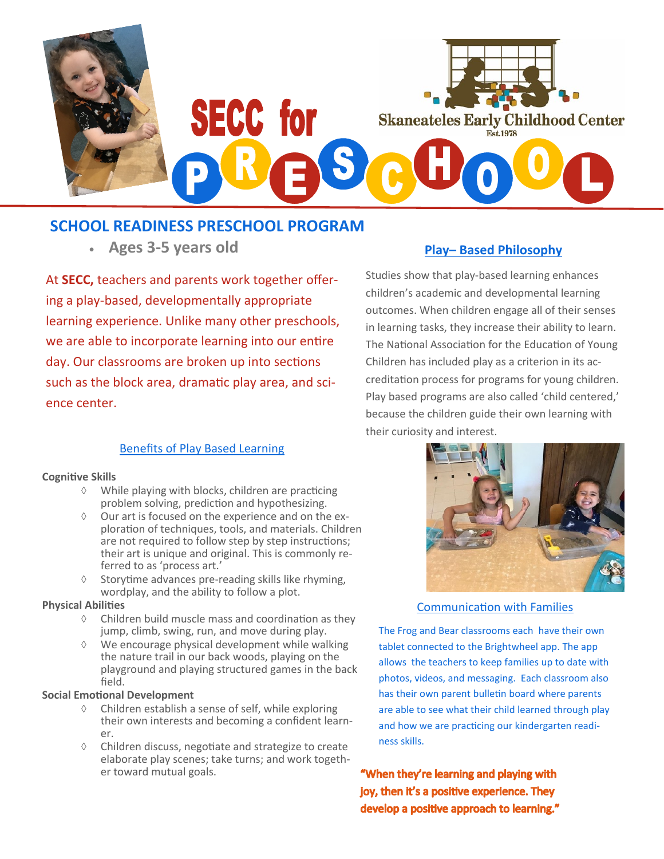

## **SCHOOL READINESS PRESCHOOL PROGRAM**

• **Ages 3-5 years old Play– Based Philosophy**

At **SECC,** teachers and parents work together offering a play-based, developmentally appropriate learning experience. Unlike many other preschools, we are able to incorporate learning into our entire day. Our classrooms are broken up into sections such as the block area, dramatic play area, and science center.

### Benefits of Play Based Learning

#### **Cognitive Skills**

- $\Diamond$  While playing with blocks, children are practicing problem solving, prediction and hypothesizing.
- $\Diamond$  Our art is focused on the experience and on the exploration of techniques, tools, and materials. Children are not required to follow step by step instructions; their art is unique and original. This is commonly referred to as 'process art.'
- $\Diamond$  Storytime advances pre-reading skills like rhyming, wordplay, and the ability to follow a plot.

#### **Physical Abilities**

- $\Diamond$  Children build muscle mass and coordination as they jump, climb, swing, run, and move during play.
- $\Diamond$  We encourage physical development while walking the nature trail in our back woods, playing on the playground and playing structured games in the back field.

#### **Social Emotional Development**

- $\Diamond$  Children establish a sense of self, while exploring their own interests and becoming a confident learner.
- $\Diamond$  Children discuss, negotiate and strategize to create elaborate play scenes; take turns; and work together toward mutual goals.

Studies show that play-based learning enhances children's academic and developmental learning outcomes. When children engage all of their senses in learning tasks, they increase their ability to learn. The National Association for the Education of Young Children has included play as a criterion in its accreditation process for programs for young children. Play based programs are also called 'child centered,' because the children guide their own learning with their curiosity and interest.



Communication with Families

The Frog and Bear classrooms each have their own tablet connected to the Brightwheel app. The app allows the teachers to keep families up to date with photos, videos, and messaging. Each classroom also has their own parent bulletin board where parents are able to see what their child learned through play and how we are practicing our kindergarten readiness skills.

"When they're learning and playing with joy, then it's a positive experience. They develop a positive approach to learning."